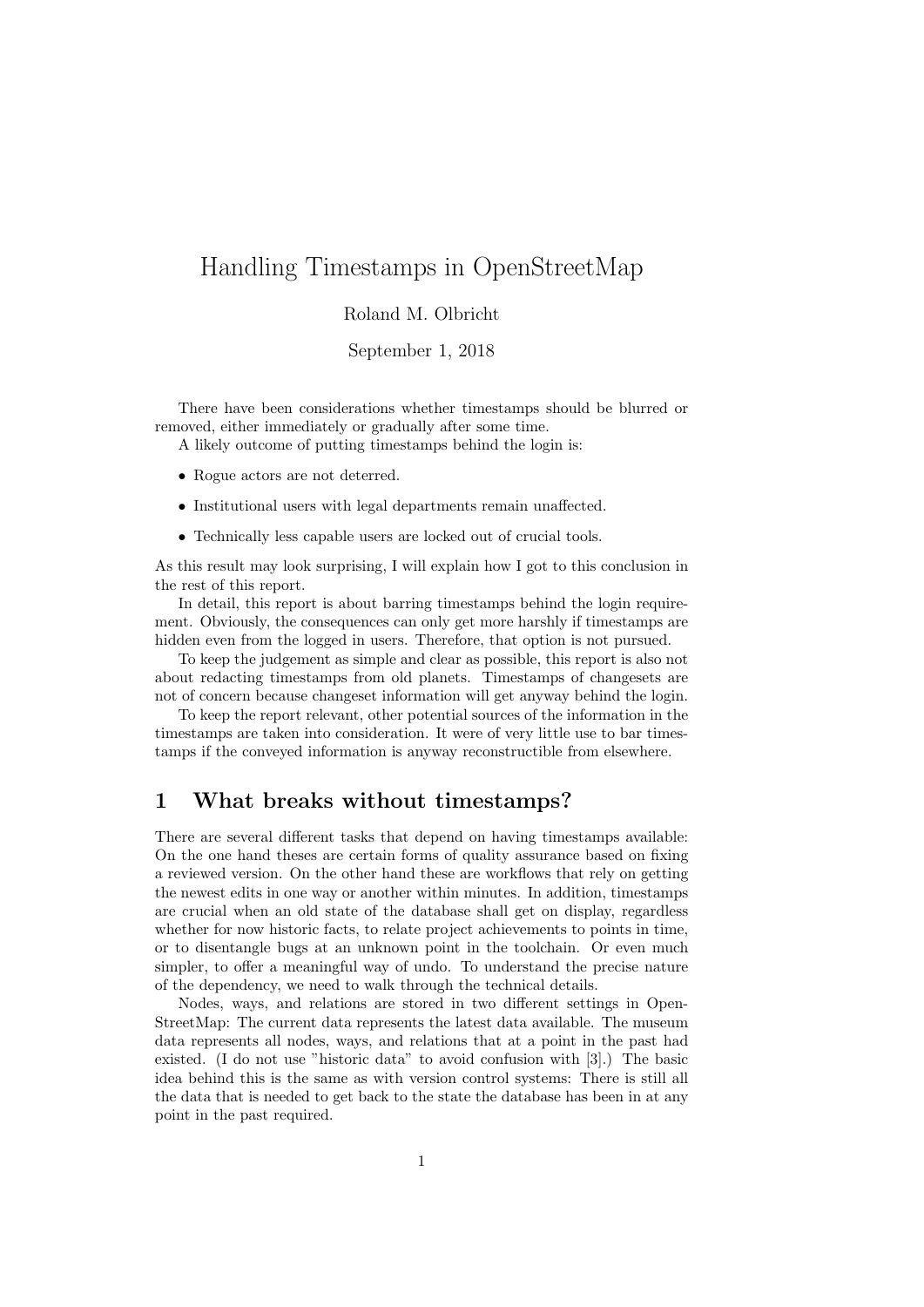# Handling Timestamps in OpenStreetMap

Roland M. Olbricht

September 1, 2018

There have been considerations whether timestamps should be blurred or removed, either immediately or gradually after some time.

A likely outcome of putting timestamps behind the login is:

- Rogue actors are not deterred.
- Institutional users with legal departments remain unaffected.
- Technically less capable users are locked out of crucial tools.

As this result may look surprising, I will explain how I got to this conclusion in the rest of this report.

In detail, this report is about barring timestamps behind the login requirement. Obviously, the consequences can only get more harshly if timestamps are hidden even from the logged in users. Therefore, that option is not pursued.

To keep the judgement as simple and clear as possible, this report is also not about redacting timestamps from old planets. Timestamps of changesets are not of concern because changeset information will get anyway behind the login.

To keep the report relevant, other potential sources of the information in the timestamps are taken into consideration. It were of very little use to bar timestamps if the conveyed information is anyway reconstructible from elsewhere.

#### 1 What breaks without timestamps?

There are several different tasks that depend on having timestamps available: On the one hand theses are certain forms of quality assurance based on fixing a reviewed version. On the other hand these are workflows that rely on getting the newest edits in one way or another within minutes. In addition, timestamps are crucial when an old state of the database shall get on display, regardless whether for now historic facts, to relate project achievements to points in time, or to disentangle bugs at an unknown point in the toolchain. Or even much simpler, to offer a meaningful way of undo. To understand the precise nature of the dependency, we need to walk through the technical details.

Nodes, ways, and relations are stored in two different settings in Open-StreetMap: The current data represents the latest data available. The museum data represents all nodes, ways, and relations that at a point in the past had existed. (I do not use "historic data" to avoid confusion with [3].) The basic idea behind this is the same as with version control systems: There is still all the data that is needed to get back to the state the database has been in at any point in the past required.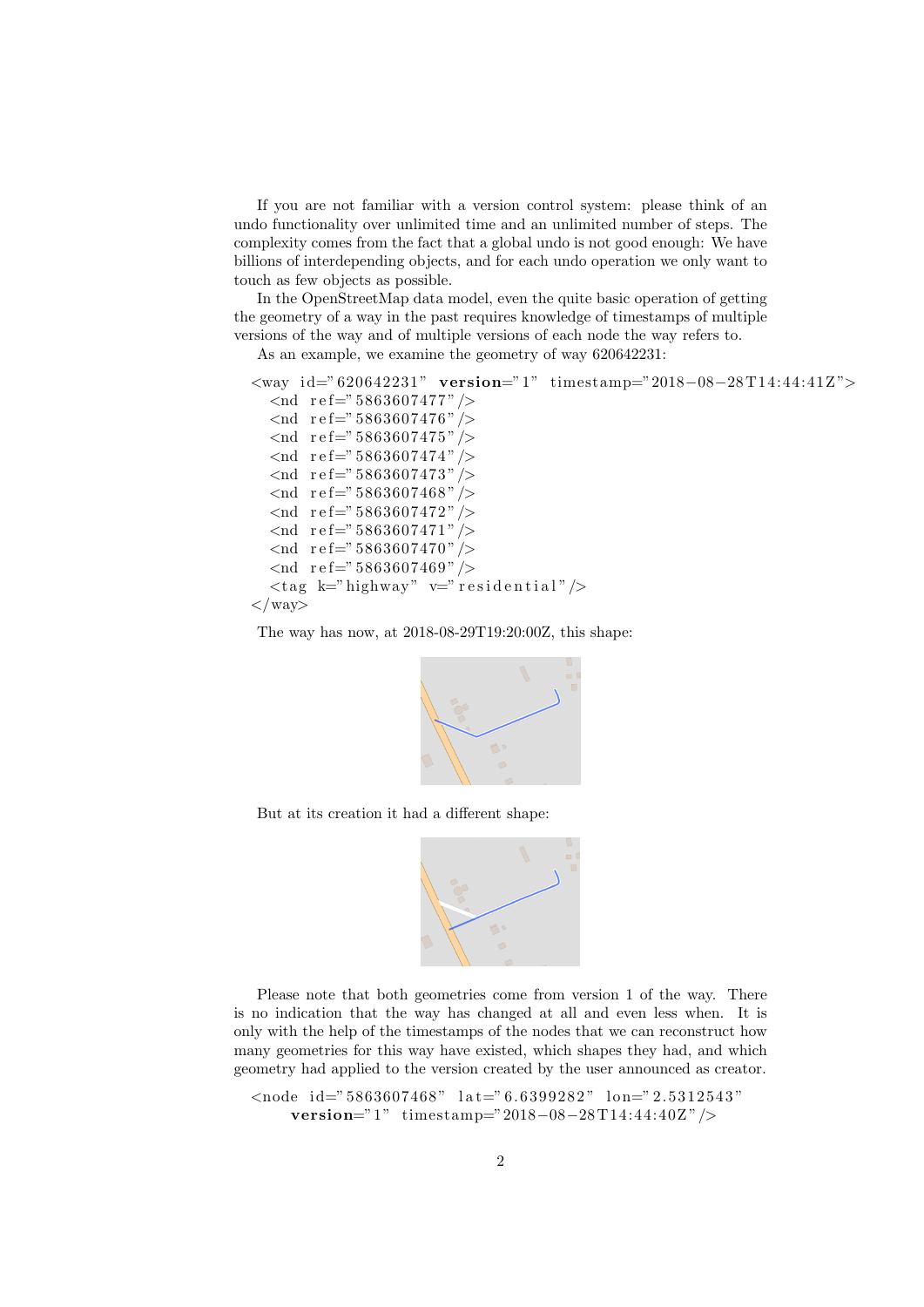If you are not familiar with a version control system: please think of an undo functionality over unlimited time and an unlimited number of steps. The complexity comes from the fact that a global undo is not good enough: We have billions of interdepending objects, and for each undo operation we only want to touch as few objects as possible.

In the OpenStreetMap data model, even the quite basic operation of getting the geometry of a way in the past requires knowledge of timestamps of multiple versions of the way and of multiple versions of each node the way refers to.

As an example, we examine the geometry of way 620642231:

```
<way i d=" 620642231 " version=" 1 " timestamp="2018−08−28 T 1 4: 4 4: 4 1Z ">
  \langlend ref="5863607477" />
  \langlend ref="5863607476"/>
  \langlend ref="5863607475"/>
  \langlend ref="5863607474" />
  \langlend ref="5863607473" />
  \langlend ref="5863607468"/>
  <nd ref="5863607472"/>
  \langlend ref="5863607471"/>
  \langlend ref="5863607470"/>
  \langlend ref="5863607469"/>
  <tag k=" highway" v=" residential" />
\langle/way\rangle
```
The way has now, at 2018-08-29T19:20:00Z, this shape:



But at its creation it had a different shape:



Please note that both geometries come from version 1 of the way. There is no indication that the way has changed at all and even less when. It is only with the help of the timestamps of the nodes that we can reconstruct how many geometries for this way have existed, which shapes they had, and which geometry had applied to the version created by the user announced as creator.

```
\langle \text{node} \text{ id} = 5863607468" \text{ lat} = 6.6399282" \text{ lon} = 2.5312543"version="1" timestamp="2018-08-28T14:44:40Z" />
```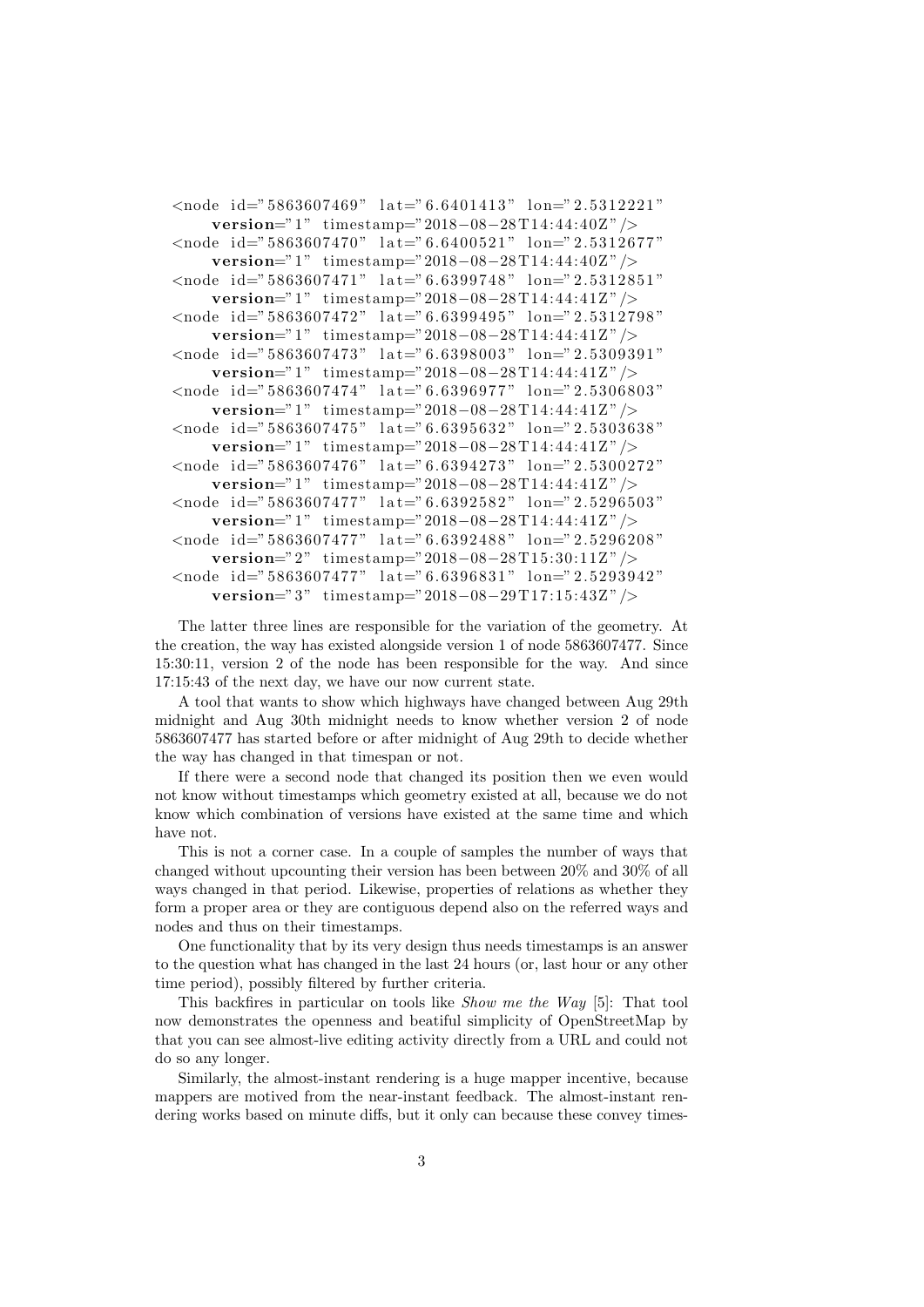$\langle \text{node} \text{ id} = 5863607469" \text{ lat} = 6.6401413" \text{ lon} = 2.5312221"$ version="1" timestamp="2018-08-28T14:44:40Z" />  $\langle \text{node} \text{ id} = 5863607470" \text{ lat} = 6.6400521" \text{ lon} = 2.5312677"$ version="1" timestamp="2018-08-28T14:44:40Z" />  $\langle \text{node id} = 5863607471" \text{ lat} = 6.6399748" \text{lon} = 2.5312851"$ version="1" timestamp="2018-08-28T14:44:41Z" />  $\langle \text{node id} = 5863607472" \text{ lat} = 6.6399495" \text{ lon} = 2.5312798"$ version="1" timestamp="2018-08-28T14:44:41Z" />  $\langle \text{node id} = 5863607473"$  lat="6.6398003" lon="2.5309391" version="1" timestamp="2018-08-28T14:44:41Z"/>  $\langle \text{node} \text{ id} = 5863607474" \text{ lat} = 6.6396977" \text{ lon} = 2.5306803"$ version="1" timestamp="2018-08-28T14:44:41Z"/>  $\langle \text{node} \text{ id} = 5863607475" \text{ lat} = 6.6395632" \text{ lon} = 2.5303638"$ version="1" timestamp="2018-08-28T14:44:41Z" />  $\langle \text{node} \text{ id} = 5863607476" \text{ lat} = 6.6394273" \text{ lon} = 2.5300272"$ version="1" timestamp="2018-08-28T14:44:41Z" />  $\langle \text{node id} = 5863607477"$  lat="6.6392582" lon="2.5296503" version="1" timestamp="2018-08-28T14:44:41Z" />  $\langle \text{node id} = 5863607477" \text{ lat} = 6.6392488" \text{lon} = 2.5296208"$ version="2" timestamp="2018-08-28T15:30:11Z" />  $\langle \text{node id} = 5863607477"$  lat="6.6396831" lon="2.5293942" version="3" timestamp="2018-08-29T17:15:43Z" />

The latter three lines are responsible for the variation of the geometry. At the creation, the way has existed alongside version 1 of node 5863607477. Since 15:30:11, version 2 of the node has been responsible for the way. And since 17:15:43 of the next day, we have our now current state.

A tool that wants to show which highways have changed between Aug 29th midnight and Aug 30th midnight needs to know whether version 2 of node 5863607477 has started before or after midnight of Aug 29th to decide whether the way has changed in that timespan or not.

If there were a second node that changed its position then we even would not know without timestamps which geometry existed at all, because we do not know which combination of versions have existed at the same time and which have not.

This is not a corner case. In a couple of samples the number of ways that changed without upcounting their version has been between 20% and 30% of all ways changed in that period. Likewise, properties of relations as whether they form a proper area or they are contiguous depend also on the referred ways and nodes and thus on their timestamps.

One functionality that by its very design thus needs timestamps is an answer to the question what has changed in the last 24 hours (or, last hour or any other time period), possibly filtered by further criteria.

This backfires in particular on tools like Show me the Way [5]: That tool now demonstrates the openness and beatiful simplicity of OpenStreetMap by that you can see almost-live editing activity directly from a URL and could not do so any longer.

Similarly, the almost-instant rendering is a huge mapper incentive, because mappers are motived from the near-instant feedback. The almost-instant rendering works based on minute diffs, but it only can because these convey times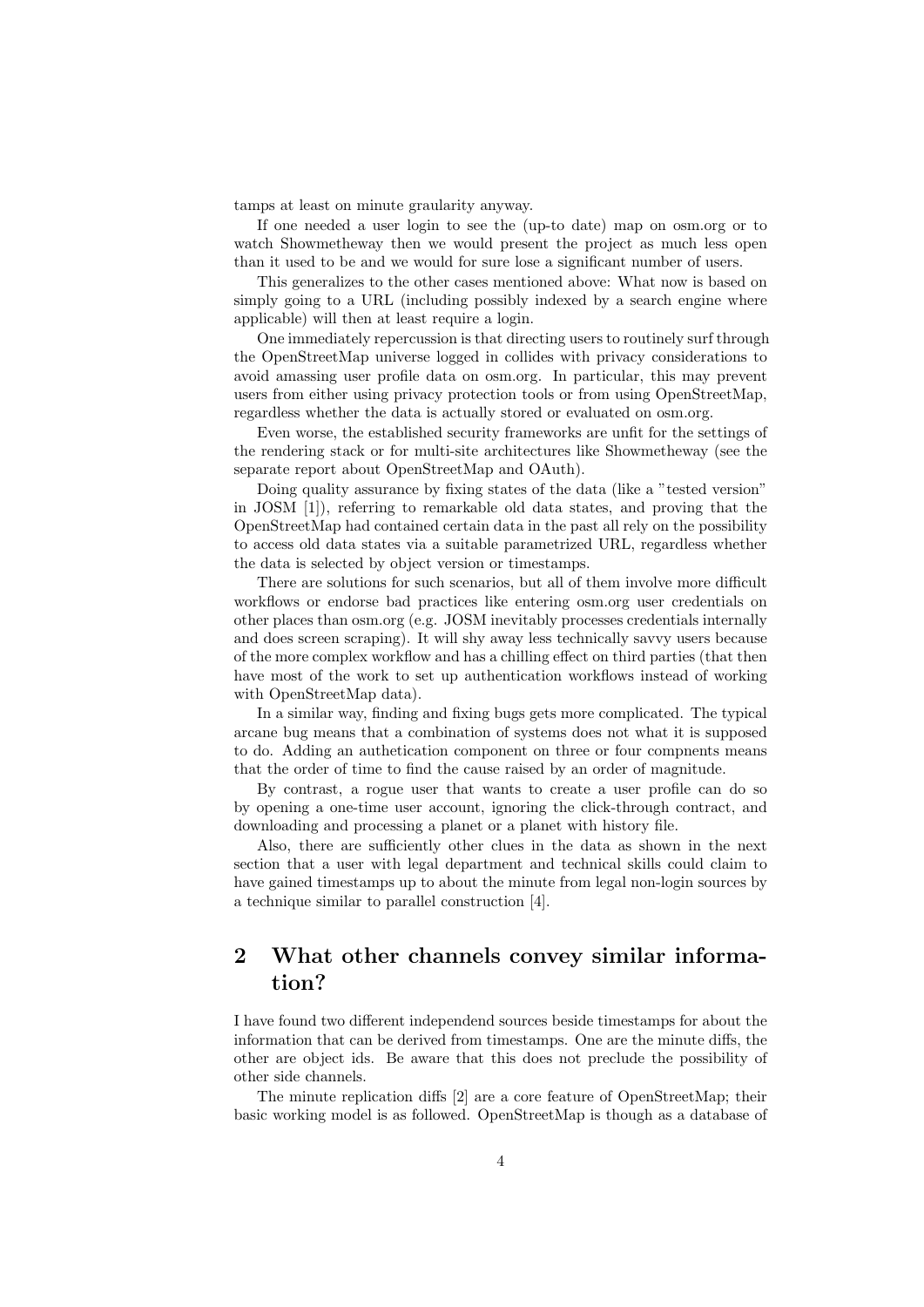tamps at least on minute graularity anyway.

If one needed a user login to see the (up-to date) map on osm.org or to watch Showmetheway then we would present the project as much less open than it used to be and we would for sure lose a significant number of users.

This generalizes to the other cases mentioned above: What now is based on simply going to a URL (including possibly indexed by a search engine where applicable) will then at least require a login.

One immediately repercussion is that directing users to routinely surf through the OpenStreetMap universe logged in collides with privacy considerations to avoid amassing user profile data on osm.org. In particular, this may prevent users from either using privacy protection tools or from using OpenStreetMap, regardless whether the data is actually stored or evaluated on osm.org.

Even worse, the established security frameworks are unfit for the settings of the rendering stack or for multi-site architectures like Showmetheway (see the separate report about OpenStreetMap and OAuth).

Doing quality assurance by fixing states of the data (like a "tested version" in JOSM [1]), referring to remarkable old data states, and proving that the OpenStreetMap had contained certain data in the past all rely on the possibility to access old data states via a suitable parametrized URL, regardless whether the data is selected by object version or timestamps.

There are solutions for such scenarios, but all of them involve more difficult workflows or endorse bad practices like entering osm.org user credentials on other places than osm.org (e.g. JOSM inevitably processes credentials internally and does screen scraping). It will shy away less technically savvy users because of the more complex workflow and has a chilling effect on third parties (that then have most of the work to set up authentication workflows instead of working with OpenStreetMap data).

In a similar way, finding and fixing bugs gets more complicated. The typical arcane bug means that a combination of systems does not what it is supposed to do. Adding an authetication component on three or four compnents means that the order of time to find the cause raised by an order of magnitude.

By contrast, a rogue user that wants to create a user profile can do so by opening a one-time user account, ignoring the click-through contract, and downloading and processing a planet or a planet with history file.

Also, there are sufficiently other clues in the data as shown in the next section that a user with legal department and technical skills could claim to have gained timestamps up to about the minute from legal non-login sources by a technique similar to parallel construction [4].

## 2 What other channels convey similar information?

I have found two different independend sources beside timestamps for about the information that can be derived from timestamps. One are the minute diffs, the other are object ids. Be aware that this does not preclude the possibility of other side channels.

The minute replication diffs [2] are a core feature of OpenStreetMap; their basic working model is as followed. OpenStreetMap is though as a database of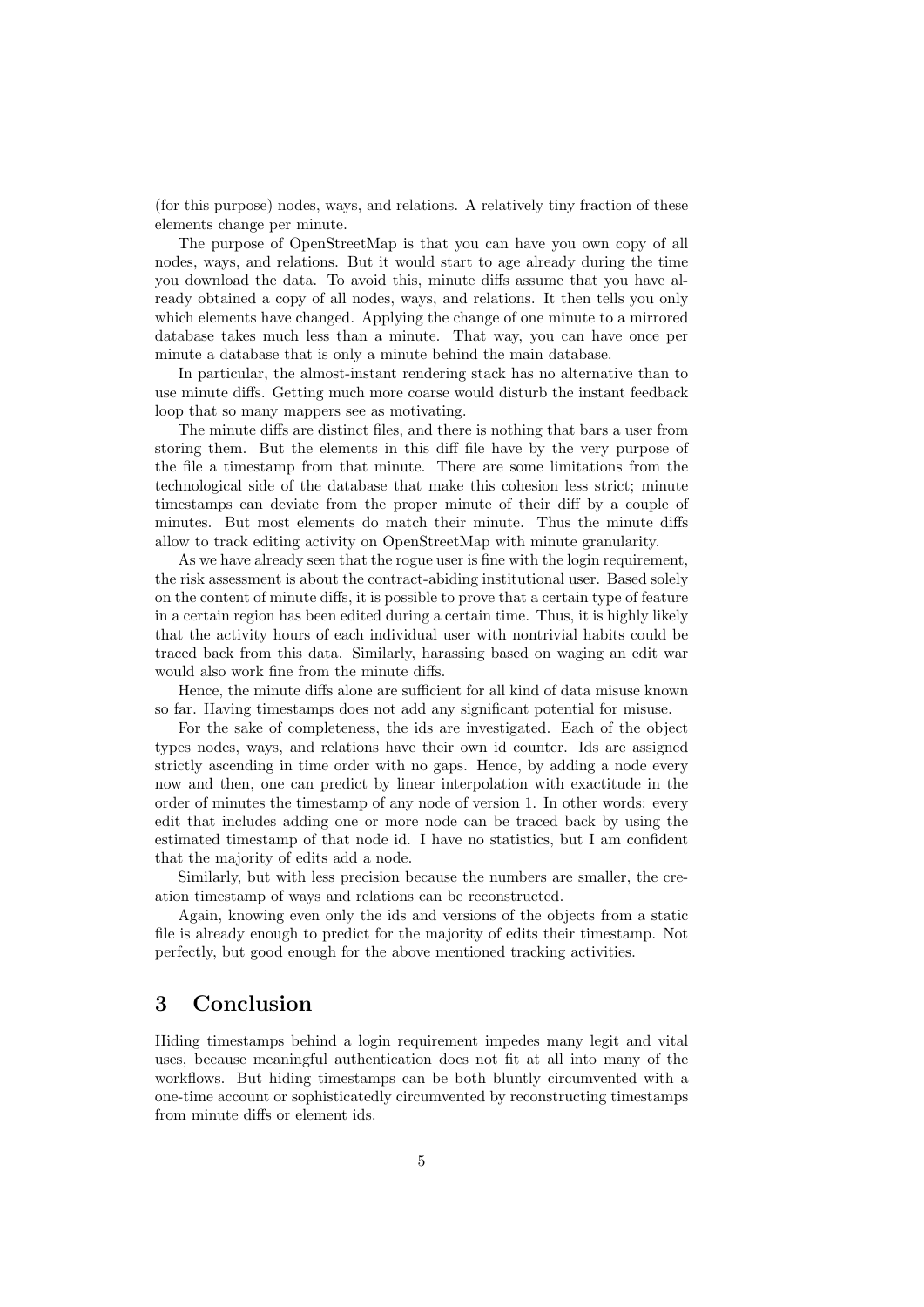(for this purpose) nodes, ways, and relations. A relatively tiny fraction of these elements change per minute.

The purpose of OpenStreetMap is that you can have you own copy of all nodes, ways, and relations. But it would start to age already during the time you download the data. To avoid this, minute diffs assume that you have already obtained a copy of all nodes, ways, and relations. It then tells you only which elements have changed. Applying the change of one minute to a mirrored database takes much less than a minute. That way, you can have once per minute a database that is only a minute behind the main database.

In particular, the almost-instant rendering stack has no alternative than to use minute diffs. Getting much more coarse would disturb the instant feedback loop that so many mappers see as motivating.

The minute diffs are distinct files, and there is nothing that bars a user from storing them. But the elements in this diff file have by the very purpose of the file a timestamp from that minute. There are some limitations from the technological side of the database that make this cohesion less strict; minute timestamps can deviate from the proper minute of their diff by a couple of minutes. But most elements do match their minute. Thus the minute diffs allow to track editing activity on OpenStreetMap with minute granularity.

As we have already seen that the rogue user is fine with the login requirement, the risk assessment is about the contract-abiding institutional user. Based solely on the content of minute diffs, it is possible to prove that a certain type of feature in a certain region has been edited during a certain time. Thus, it is highly likely that the activity hours of each individual user with nontrivial habits could be traced back from this data. Similarly, harassing based on waging an edit war would also work fine from the minute diffs.

Hence, the minute diffs alone are sufficient for all kind of data misuse known so far. Having timestamps does not add any significant potential for misuse.

For the sake of completeness, the ids are investigated. Each of the object types nodes, ways, and relations have their own id counter. Ids are assigned strictly ascending in time order with no gaps. Hence, by adding a node every now and then, one can predict by linear interpolation with exactitude in the order of minutes the timestamp of any node of version 1. In other words: every edit that includes adding one or more node can be traced back by using the estimated timestamp of that node id. I have no statistics, but I am confident that the majority of edits add a node.

Similarly, but with less precision because the numbers are smaller, the creation timestamp of ways and relations can be reconstructed.

Again, knowing even only the ids and versions of the objects from a static file is already enough to predict for the majority of edits their timestamp. Not perfectly, but good enough for the above mentioned tracking activities.

### 3 Conclusion

Hiding timestamps behind a login requirement impedes many legit and vital uses, because meaningful authentication does not fit at all into many of the workflows. But hiding timestamps can be both bluntly circumvented with a one-time account or sophisticatedly circumvented by reconstructing timestamps from minute diffs or element ids.